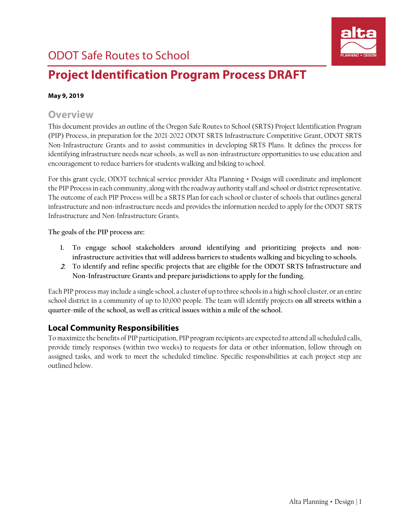

# **Project Identification Program Process DRAFT**

#### **May 9, 2019**

## **Overview**

This document provides an outline of the Oregon Safe Routes to School (SRTS) Project Identification Program (PIP) Process, in preparation for the 2021-2022 ODOT SRTS Infrastructure Competitive Grant, ODOT SRTS Non-Infrastructure Grants and to assist communities in developing SRTS Plans. It defines the process for identifying infrastructure needs near schools, as well as non-infrastructure opportunities to use education and encouragement to reduce barriers for students walking and biking to school.

For this grant cycle, ODOT technical service provider Alta Planning + Design will coordinate and implement the PIP Process in each community, along with the roadway authority staff and school or district representative. The outcome of each PIP Process will be a SRTS Plan for each school or cluster of schools that outlines general infrastructure and non-infrastructure needs and provides the information needed to apply for the ODOT SRTS Infrastructure and Non-Infrastructure Grants.

**The goals of the PIP process are:**

- **1. To engage school stakeholders around identifying and prioritizing projects and noninfrastructure activities that will address barriers to students walking and bicycling to schools.**
- 2. **To identify and refine specific projects that are eligible for the ODOT SRTS Infrastructure and Non-Infrastructure Grants and prepare jurisdictions to apply for the funding**.

Each PIP process may include a single school, a cluster of up to three schoolsin a high school cluster, or an entire school district in a community of up to 10,000 people. The team will identify projects **on all streets within a quarter-mile of the school, as well as critical issues within a mile of the school.**

## **Local Community Responsibilities**

To maximize the benefits of PIP participation, PIP program recipients are expected to attend all scheduled calls, provide timely responses (within two weeks) to requests for data or other information, follow through on assigned tasks, and work to meet the scheduled timeline. Specific responsibilities at each project step are outlined below.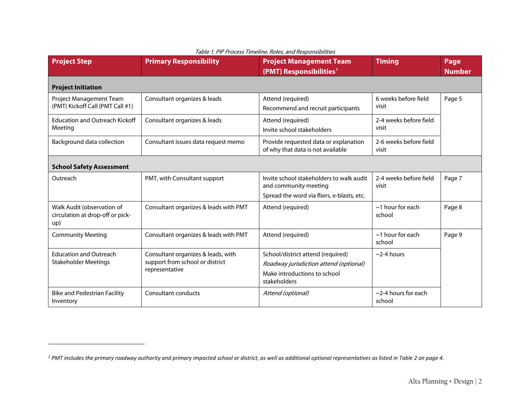| <b>Project Step</b>                                                   | <b>Primary Responsibility</b>                                                           | <b>Project Management Team</b><br>(PMT) Responsibilities <sup>1</sup>                                                       | <b>Timing</b>                       | Page<br><b>Number</b> |  |
|-----------------------------------------------------------------------|-----------------------------------------------------------------------------------------|-----------------------------------------------------------------------------------------------------------------------------|-------------------------------------|-----------------------|--|
| <b>Project Initiation</b>                                             |                                                                                         |                                                                                                                             |                                     |                       |  |
| Project Management Team<br>(PMT) Kickoff Call (PMT Call #1)           | Consultant organizes & leads                                                            | Attend (required)<br>Recommend and recruit participants                                                                     | 6 weeks before field<br>visit       | Page 5                |  |
| <b>Education and Outreach Kickoff</b><br>Meeting                      | Consultant organizes & leads                                                            | Attend (required)<br>Invite school stakeholders                                                                             | 2-4 weeks before field<br>visit     |                       |  |
| Background data collection                                            | Consultant issues data request memo                                                     | Provide requested data or explanation<br>of why that data is not available                                                  | 2-6 weeks before field<br>visit     |                       |  |
| <b>School Safety Assessment</b>                                       |                                                                                         |                                                                                                                             |                                     |                       |  |
| Outreach                                                              | PMT, with Consultant support                                                            | Invite school stakeholders to walk audit<br>and community meeting<br>Spread the word via fliers, e-blasts, etc.             | 2-4 weeks before field<br>visit     | Page 7                |  |
| Walk Audit (observation of<br>circulation at drop-off or pick-<br>up) | Consultant organizes & leads with PMT                                                   | Attend (required)                                                                                                           | $\sim$ 1 hour for each<br>school    | Page 8                |  |
| <b>Community Meeting</b>                                              | Consultant organizes & leads with PMT                                                   | Attend (required)                                                                                                           | $\sim$ 1 hour for each<br>school    | Page 9                |  |
| <b>Education and Outreach</b><br><b>Stakeholder Meetings</b>          | Consultant organizes & leads, with<br>support from school or district<br>representative | School/district attend (required)<br>Roadway jurisdiction attend (optional)<br>Make introductions to school<br>stakeholders | $\sim$ 2-4 hours                    |                       |  |
| <b>Bike and Pedestrian Facility</b><br>Inventory                      | Consultant conducts                                                                     | Attend (optional)                                                                                                           | $\sim$ 2-4 hours for each<br>school |                       |  |

<span id="page-1-0"></span>Table 1. PIP Process Timeline, Roles, and Responsibilities

 $\overline{a}$ 

*<sup>1</sup> PMT includes the primary roadway authority and primary impacted school or district, as well as additional optional representatives as listed i[n Table 2](#page-4-1) on pag[e 4.](#page-4-1)*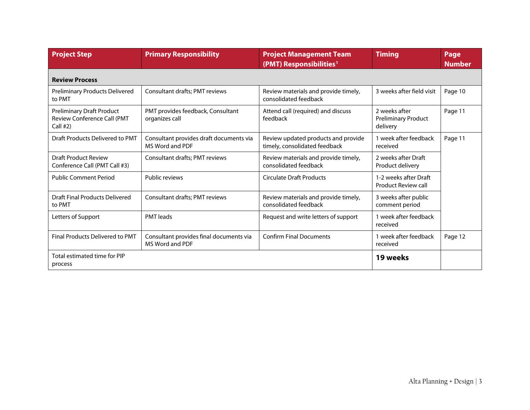| <b>Project Step</b>                                                                  | <b>Primary Responsibility</b>                              | <b>Project Management Team</b><br>(PMT) Responsibilities <sup>1</sup> | <b>Timing</b>                                           | Page<br><b>Number</b> |
|--------------------------------------------------------------------------------------|------------------------------------------------------------|-----------------------------------------------------------------------|---------------------------------------------------------|-----------------------|
| <b>Review Process</b>                                                                |                                                            |                                                                       |                                                         |                       |
| <b>Preliminary Products Delivered</b><br>to PMT                                      | Consultant drafts; PMT reviews                             | 3 weeks after field visit                                             | Page 10                                                 |                       |
| <b>Preliminary Draft Product</b><br><b>Review Conference Call (PMT</b><br>Call $#2)$ | PMT provides feedback, Consultant<br>organizes call        | Attend call (required) and discuss<br>feedback                        | 2 weeks after<br><b>Preliminary Product</b><br>delivery | Page 11               |
| Draft Products Delivered to PMT                                                      | Consultant provides draft documents via<br>MS Word and PDF | Review updated products and provide<br>timely, consolidated feedback  | 1 week after feedback<br>received                       | Page 11               |
| Draft Product Review<br>Conference Call (PMT Call #3)                                | Consultant drafts; PMT reviews                             | Review materials and provide timely,<br>consolidated feedback         | 2 weeks after Draft<br>Product delivery                 |                       |
| <b>Public Comment Period</b>                                                         | Public reviews                                             | <b>Circulate Draft Products</b>                                       | 1-2 weeks after Draft<br><b>Product Review call</b>     |                       |
| <b>Draft Final Products Delivered</b><br>to PMT                                      | Consultant drafts; PMT reviews                             | Review materials and provide timely,<br>consolidated feedback         | 3 weeks after public<br>comment period                  |                       |
| Letters of Support                                                                   | <b>PMT</b> leads                                           | Request and write letters of support                                  | 1 week after feedback<br>received                       |                       |
| <b>Final Products Delivered to PMT</b>                                               | Consultant provides final documents via<br>MS Word and PDF | <b>Confirm Final Documents</b>                                        | 1 week after feedback<br>received                       | Page 12               |
| Total estimated time for PIP<br>process                                              |                                                            |                                                                       | 19 weeks                                                |                       |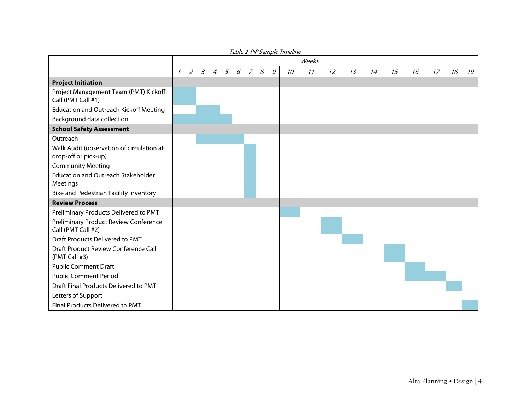|                                                                   | <i>Lavic 2. FIF Jampic Timemic</i><br>Weeks |  |                  |                |   |   |    |                |    |    |    |    |    |    |    |    |    |    |
|-------------------------------------------------------------------|---------------------------------------------|--|------------------|----------------|---|---|----|----------------|----|----|----|----|----|----|----|----|----|----|
|                                                                   | $\mathcal{I}$                               |  | $2 \overline{3}$ | $\overline{4}$ | 5 | 6 | 78 | $\overline{g}$ | 10 | 11 | 12 | 13 | 14 | 15 | 16 | 17 | 18 | 19 |
| <b>Project Initiation</b>                                         |                                             |  |                  |                |   |   |    |                |    |    |    |    |    |    |    |    |    |    |
| Project Management Team (PMT) Kickoff<br>Call (PMT Call #1)       |                                             |  |                  |                |   |   |    |                |    |    |    |    |    |    |    |    |    |    |
| <b>Education and Outreach Kickoff Meeting</b>                     |                                             |  |                  |                |   |   |    |                |    |    |    |    |    |    |    |    |    |    |
| Background data collection                                        |                                             |  |                  |                |   |   |    |                |    |    |    |    |    |    |    |    |    |    |
| <b>School Safety Assessment</b>                                   |                                             |  |                  |                |   |   |    |                |    |    |    |    |    |    |    |    |    |    |
| Outreach                                                          |                                             |  |                  |                |   |   |    |                |    |    |    |    |    |    |    |    |    |    |
| Walk Audit (observation of circulation at<br>drop-off or pick-up) |                                             |  |                  |                |   |   |    |                |    |    |    |    |    |    |    |    |    |    |
| <b>Community Meeting</b>                                          |                                             |  |                  |                |   |   |    |                |    |    |    |    |    |    |    |    |    |    |
| <b>Education and Outreach Stakeholder</b><br><b>Meetings</b>      |                                             |  |                  |                |   |   |    |                |    |    |    |    |    |    |    |    |    |    |
| Bike and Pedestrian Facility Inventory                            |                                             |  |                  |                |   |   |    |                |    |    |    |    |    |    |    |    |    |    |
| <b>Review Process</b>                                             |                                             |  |                  |                |   |   |    |                |    |    |    |    |    |    |    |    |    |    |
| Preliminary Products Delivered to PMT                             |                                             |  |                  |                |   |   |    |                |    |    |    |    |    |    |    |    |    |    |
| Preliminary Product Review Conference<br>Call (PMT Call #2)       |                                             |  |                  |                |   |   |    |                |    |    |    |    |    |    |    |    |    |    |
| Draft Products Delivered to PMT                                   |                                             |  |                  |                |   |   |    |                |    |    |    |    |    |    |    |    |    |    |
| Draft Product Review Conference Call<br>(PMT Call #3)             |                                             |  |                  |                |   |   |    |                |    |    |    |    |    |    |    |    |    |    |
| <b>Public Comment Draft</b>                                       |                                             |  |                  |                |   |   |    |                |    |    |    |    |    |    |    |    |    |    |
| <b>Public Comment Period</b>                                      |                                             |  |                  |                |   |   |    |                |    |    |    |    |    |    |    |    |    |    |
| Draft Final Products Delivered to PMT                             |                                             |  |                  |                |   |   |    |                |    |    |    |    |    |    |    |    |    |    |
| Letters of Support                                                |                                             |  |                  |                |   |   |    |                |    |    |    |    |    |    |    |    |    |    |
| Final Products Delivered to PMT                                   |                                             |  |                  |                |   |   |    |                |    |    |    |    |    |    |    |    |    |    |

Table 2. PiP Sample Timeline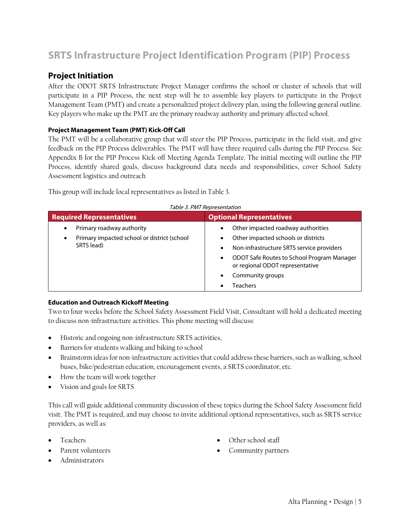## <span id="page-4-0"></span>**SRTS Infrastructure Project Identification Program (PIP) Process**

## **Project Initiation**

<span id="page-4-1"></span>After the ODOT SRTS Infrastructure Project Manager confirms the school or cluster of schools that will participate in a PIP Process, the next step will be to assemble key players to participate in the Project Management Team (PMT) and create a personalized project delivery plan, using the following general outline. Key players who make up the PMT are the primary roadway authority and primary affected school.

#### **Project Management Team (PMT) Kick-Off Call**

The PMT will be a collaborative group that will steer the PIP Process, participate in the field visit, and give feedback on the PIP Process deliverables. The PMT will have three required calls during the PIP Process. See Appendix B for the PIP Process Kick-off Meeting Agenda Template. The initial meeting will outline the PIP Process, identify shared goals, discuss background data needs and responsibilities, cover School Safety Assessment logistics and outreach

This group will include local representatives as listed i[n Table 3.](#page-4-2)

<span id="page-4-2"></span>

| <b>Required Representatives</b>                                                                  | <b>Optional Representatives</b>                                                                                                                                                                                                                   |  |  |  |  |  |
|--------------------------------------------------------------------------------------------------|---------------------------------------------------------------------------------------------------------------------------------------------------------------------------------------------------------------------------------------------------|--|--|--|--|--|
| Primary roadway authority<br>٠<br>Primary impacted school or district (school<br>٠<br>SRTS lead) | Other impacted roadway authorities<br>Other impacted schools or districts<br>Non-infrastructure SRTS service providers<br>٠<br>ODOT Safe Routes to School Program Manager<br>٠<br>or regional ODOT representative<br>Community groups<br>Teachers |  |  |  |  |  |

## $T/L$  3. PMT Representation

#### **Education and Outreach Kickoff Meeting**

Two to four weeks before the School Safety Assessment Field Visit, Consultant will hold a dedicated meeting to discuss non-infrastructure activities. This phone meeting will discuss:

- Historic and ongoing non-infrastructure SRTS activities,
- Barriers for students walking and biking to school
- Brainstorm ideas for non-infrastructure activities that could address these barriers, such as walking, school buses, bike/pedestrian education, encouragement events, a SRTS coordinator, etc.
- How the team will work together
- Vision and goals for SRTS

This call will guide additional community discussion of these topics during the School Safety Assessment field visit. The PMT is required, and may choose to invite additional optional representatives, such as SRTS service providers, as well as:

- Teachers
- Parent volunteers
- Administrators
- Other school staff
- Community partners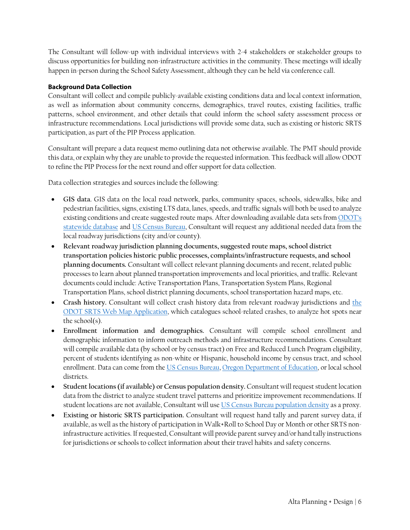The Consultant will follow-up with individual interviews with 2-4 stakeholders or stakeholder groups to discuss opportunities for building non-infrastructure activities in the community. These meetings will ideally happen in-person during the School Safety Assessment, although they can be held via conference call.

#### **Background Data Collection**

Consultant will collect and compile publicly-available existing conditions data and local context information, as well as information about community concerns, demographics, travel routes, existing facilities, traffic patterns, school environment, and other details that could inform the school safety assessment process or infrastructure recommendations. Local jurisdictions will provide some data, such as existing or historic SRTS participation, as part of the PIP Process application.

Consultant will prepare a data request memo outlining data not otherwise available. The PMT should provide this data, or explain why they are unable to provide the requested information. This feedback will allow ODOT to refine the PIP Process for the next round and offer support for data collection.

Data collection strategies and sources include the following:

- **GIS data**. GIS data on the local road network, parks, community spaces, schools, sidewalks, bike and pedestrian facilities, signs, existing LTS data, lanes, speeds, and traffic signals will both be used to analyze existing conditions and create suggested route maps. After downloading available data sets fro[m ODOT's](https://www.oregon.gov/ODOT/Data/Pages/Maps.aspx)  [statewide database](https://www.oregon.gov/ODOT/Data/Pages/Maps.aspx) and [US Census Bureau,](https://www.census.gov/geo/maps-data/data/tiger-line.html) Consultant will request any additional needed data from the local roadway jurisdictions (city and/or county).
- **Relevant roadway jurisdiction planning documents, suggested route maps, school district transportation policies historic public processes, complaints/infrastructure requests, and school planning documents.** Consultant will collect relevant planning documents and recent, related public processes to learn about planned transportation improvements and local priorities, and traffic. Relevant documents could include: Active Transportation Plans, Transportation System Plans, Regional Transportation Plans, school district planning documents, school transportation hazard maps, etc.
- **Crash history.** Consultant will collect crash history data from relevant roadway jurisdictions and [the](https://geo.maps.arcgis.com/apps/webappviewer/index.html?id=33d00a3d7181433d85abfce78b8ae879) ODOT [SRTS Web Map Application,](https://geo.maps.arcgis.com/apps/webappviewer/index.html?id=33d00a3d7181433d85abfce78b8ae879) which catalogues school-related crashes, to analyze hot spots near the school(s).
- **Enrollment information and demographics.** Consultant will compile school enrollment and demographic information to inform outreach methods and infrastructure recommendations. Consultant will compile available data (by school or by census tract) on Free and Reduced Lunch Program eligibility, percent of students identifying as non-white or Hispanic, household income by census tract, and school enrollment. Data can come from th[e US Census Bureau,](https://www.census.gov/quickfacts/fact/table/US/PST045217) [Oregon Department of Education,](https://www.oregon.gov/ode/reports-and-data/Pages/default.aspx) or local school districts.
- **Student locations (if available) or Census population density.** Consultant will request student location data from the district to analyze student travel patterns and prioritize improvement recommendations. If student locations are not available, Consultant will use [US Census Bureau population density](https://www.census.gov/population/www/censusdata/density.html) as a proxy.
- **Existing or historic SRTS participation.** Consultant will request hand tally and parent survey data, if available, as well as the history of participation in Walk+Roll to School Day or Month or other SRTS noninfrastructure activities. If requested, Consultant will provide parent survey and/or hand tally instructions for jurisdictions or schools to collect information about their travel habits and safety concerns.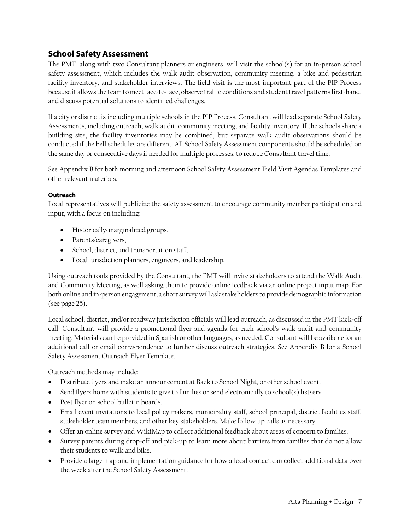## **School Safety Assessment**

<span id="page-6-0"></span>The PMT, along with two Consultant planners or engineers, will visit the school(s) for an in-person school safety assessment, which includes the walk audit observation, community meeting, a bike and pedestrian facility inventory, and stakeholder interviews. The field visit is the most important part of the PIP Process because it allows the team to meet face-to-face, observe traffic conditions and student travel patterns first-hand, and discuss potential solutions to identified challenges.

If a city or district is including multiple schools in the PIP Process, Consultant will lead separate School Safety Assessments, including outreach, walk audit, community meeting, and facility inventory. If the schools share a building site, the facility inventories may be combined, but separate walk audit observations should be conducted if the bell schedules are different. All School Safety Assessment components should be scheduled on the same day or consecutive days if needed for multiple processes, to reduce Consultant travel time.

See Appendix B for both morning and afternoon School Safety Assessment Field Visit Agendas Templates and other relevant materials.

#### **Outreach**

Local representatives will publicize the safety assessment to encourage community member participation and input, with a focus on including:

- Historically-marginalized groups,
- Parents/caregivers,
- School, district, and transportation staff,
- Local jurisdiction planners, engineers, and leadership.

Using outreach tools provided by the Consultant, the PMT will invite stakeholders to attend the Walk Audit and Community Meeting, as well asking them to provide online feedback via an online project input map. For both online and in-person engagement, a short survey will ask stakeholders to provide demographic information (see page 25).

Local school, district, and/or roadway jurisdiction officials will lead outreach, as discussed in the PMT kick-off call. Consultant will provide a promotional flyer and agenda for each school's walk audit and community meeting. Materials can be provided in Spanish or other languages, as needed. Consultant will be available for an additional call or email correspondence to further discuss outreach strategies. See Appendix B for a School Safety Assessment Outreach Flyer Template.

Outreach methods may include:

- Distribute flyers and make an announcement at Back to School Night, or other school event.
- Send flyers home with students to give to families or send electronically to school(s) listserv.
- Post flyer on school bulletin boards.
- Email event invitations to local policy makers, municipality staff, school principal, district facilities staff, stakeholder team members, and other key stakeholders. Make follow up calls as necessary.
- Offer an online survey and WikiMap to collect additional feedback about areas of concern to families.
- Survey parents during drop-off and pick-up to learn more about barriers from families that do not allow their students to walk and bike.
- Provide a large map and implementation guidance for how a local contact can collect additional data over the week after the School Safety Assessment.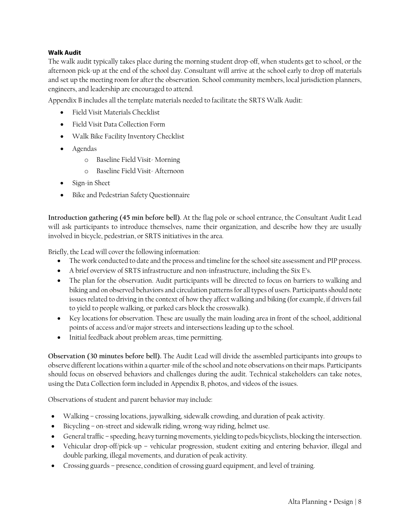#### <span id="page-7-0"></span>**Walk Audit**

The walk audit typically takes place during the morning student drop-off, when students get to school, or the afternoon pick-up at the end of the school day. Consultant will arrive at the school early to drop off materials and set up the meeting room for after the observation. School community members, local jurisdiction planners, engineers, and leadership are encouraged to attend.

Appendix B includes all the template materials needed to facilitate the SRTS Walk Audit:

- Field Visit Materials Checklist
- Field Visit Data Collection Form
- Walk Bike Facility Inventory Checklist
- Agendas
	- o Baseline Field Visit- Morning
	- o Baseline Field Visit- Afternoon
- Sign-in Sheet
- Bike and Pedestrian Safety Questionnaire

**Introduction gathering (45 min before bell)**. At the flag pole or school entrance, the Consultant Audit Lead will ask participants to introduce themselves, name their organization, and describe how they are usually involved in bicycle, pedestrian, or SRTS initiatives in the area.

Briefly, the Lead will cover the following information:

- The work conducted to date and the process and timeline for the school site assessment and PIP process.
- A brief overview of SRTS infrastructure and non-infrastructure, including the Six E's.
- The plan for the observation. Audit participants will be directed to focus on barriers to walking and biking and on observed behaviors and circulation patterns for all types of users. Participants should note issues related to driving in the context of how they affect walking and biking (for example, if drivers fail to yield to people walking, or parked cars block the crosswalk).
- Key locations for observation. These are usually the main loading area in front of the school, additional points of access and/or major streets and intersections leading up to the school.
- Initial feedback about problem areas, time permitting.

**Observation (30 minutes before bell).** The Audit Lead will divide the assembled participants into groups to observe different locations within a quarter-mile of the school and note observations on their maps. Participants should focus on observed behaviors and challenges during the audit. Technical stakeholders can take notes, using the Data Collection form included in Appendix B, photos, and videos of the issues.

Observations of student and parent behavior may include:

- Walking crossing locations, jaywalking, sidewalk crowding, and duration of peak activity.
- Bicycling on-street and sidewalk riding, wrong-way riding, helmet use.
- General traffic speeding, heavy turning movements, yielding to peds/bicyclists, blocking the intersection.
- Vehicular drop-off/pick-up vehicular progression, student exiting and entering behavior, illegal and double parking, illegal movements, and duration of peak activity.
- Crossing guards presence, condition of crossing guard equipment, and level of training.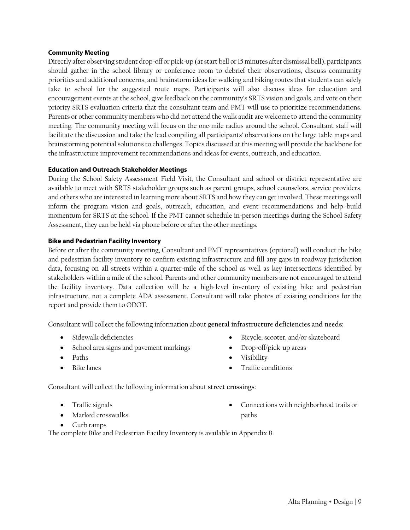#### <span id="page-8-0"></span>**Community Meeting**

Directly after observing student drop-off or pick-up (at start bell or 15 minutes after dismissal bell), participants should gather in the school library or conference room to debrief their observations, discuss community priorities and additional concerns, and brainstorm ideas for walking and biking routes that students can safely take to school for the suggested route maps. Participants will also discuss ideas for education and encouragement events at the school, give feedback on the community's SRTS vision and goals, and vote on their priority SRTS evaluation criteria that the consultant team and PMT will use to prioritize recommendations. Parents or other community members who did not attend the walk audit are welcome to attend the community meeting. The community meeting will focus on the one-mile radius around the school. Consultant staff will facilitate the discussion and take the lead compiling all participants' observations on the large table maps and brainstorming potential solutions to challenges. Topics discussed at this meeting will provide the backbone for the infrastructure improvement recommendations and ideas for events, outreach, and education.

#### **Education and Outreach Stakeholder Meetings**

During the School Safety Assessment Field Visit, the Consultant and school or district representative are available to meet with SRTS stakeholder groups such as parent groups, school counselors, service providers, and others who are interested in learning more about SRTS and how they can get involved. These meetings will inform the program vision and goals, outreach, education, and event recommendations and help build momentum for SRTS at the school. If the PMT cannot schedule in-person meetings during the School Safety Assessment, they can be held via phone before or after the other meetings.

#### **Bike and Pedestrian Facility Inventory**

Before or after the community meeting, Consultant and PMT representatives (optional) will conduct the bike and pedestrian facility inventory to confirm existing infrastructure and fill any gaps in roadway jurisdiction data, focusing on all streets within a quarter-mile of the school as well as key intersections identified by stakeholders within a mile of the school. Parents and other community members are not encouraged to attend the facility inventory. Data collection will be a high-level inventory of existing bike and pedestrian infrastructure, not a complete ADA assessment. Consultant will take photos of existing conditions for the report and provide them to ODOT.

Consultant will collect the following information about **general infrastructure deficiencies and needs**:

- Sidewalk deficiencies
- School area signs and pavement markings
- Paths
- Bike lanes
- Bicycle, scooter, and/or skateboard
- Drop-off/pick-up areas
- Visibility
- Traffic conditions

Consultant will collect the following information about **street crossings**:

- Traffic signals
- Marked crosswalks

• Connections with neighborhood trails or paths

• Curb ramps

The complete Bike and Pedestrian Facility Inventory is available in Appendix B.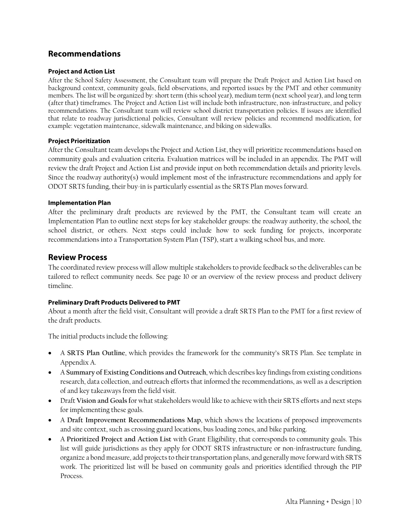### **Recommendations**

#### **Project and Action List**

After the School Safety Assessment, the Consultant team will prepare the Draft Project and Action List based on background context, community goals, field observations, and reported issues by the PMT and other community members. The list will be organized by: short term (this school year), medium term (next school year), and long term (after that) timeframes. The Project and Action List will include both infrastructure, non-infrastructure, and policy recommendations. The Consultant team will review school district transportation policies. If issues are identified that relate to roadway jurisdictional policies, Consultant will review policies and recommend modification, for example: vegetation maintenance, sidewalk maintenance, and biking on sidewalks.

#### **Project Prioritization**

After the Consultant team develops the Project and Action List, they will prioritize recommendations based on community goals and evaluation criteria. Evaluation matrices will be included in an appendix. The PMT will review the draft Project and Action List and provide input on both recommendation details and priority levels. Since the roadway authority(s) would implement most of the infrastructure recommendations and apply for ODOT SRTS funding, their buy-in is particularly essential as the SRTS Plan moves forward.

#### <span id="page-9-0"></span>**Implementation Plan**

After the preliminary draft products are reviewed by the PMT, the Consultant team will create an Implementation Plan to outline next steps for key stakeholder groups: the roadway authority, the school, the school district, or others. Next steps could include how to seek funding for projects, incorporate recommendations into a Transportation System Plan (TSP), start a walking school bus, and more.

#### <span id="page-9-1"></span>**Review Process**

The coordinated review process will allow multiple stakeholders to provide feedback so the deliverables can be tailored to reflect community needs. See page [10](#page-9-1) or an overview of the review process and product delivery timeline.

#### **Preliminary Draft Products Delivered to PMT**

About a month after the field visit, Consultant will provide a draft SRTS Plan to the PMT for a first review of the draft products.

The initial products include the following:

- A **SRTS Plan Outline**, which provides the framework for the community's SRTS Plan. See template in Appendix A.
- A **Summary of Existing Conditions and Outreach**, which describes key findings from existing conditions research, data collection, and outreach efforts that informed the recommendations, as well as a description of and key takeaways from the field visit.
- Draft **Vision and Goals f**or what stakeholders would like to achieve with their SRTS efforts and next steps for implementing these goals.
- A **Draft Improvement Recommendations Map**, which shows the locations of proposed improvements and site context, such as crossing guard locations, bus loading zones, and bike parking.
- A **Prioritized Project and Action List** with Grant Eligibility, that corresponds to community goals. This list will guide jurisdictions as they apply for ODOT SRTS infrastructure or non-infrastructure funding, organize a bond measure, add projects to their transportation plans, and generally move forward with SRTS work. The prioritized list will be based on community goals and priorities identified through the PIP Process.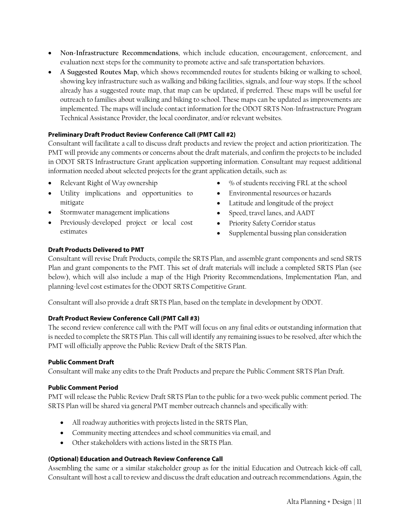- <span id="page-10-0"></span>• **Non-Infrastructure Recommendations**, which include education, encouragement, enforcement, and evaluation next steps for the community to promote active and safe transportation behaviors.
- **A Suggested Routes Map**, which shows recommended routes for students biking or walking to school, showing key infrastructure such as walking and biking facilities, signals, and four-way stops. If the school already has a suggested route map, that map can be updated, if preferred. These maps will be useful for outreach to families about walking and biking to school. These maps can be updated as improvements are implemented. The maps will include contact information for the ODOT SRTS Non-Infrastructure Program Technical Assistance Provider, the local coordinator, and/or relevant websites.

#### <span id="page-10-1"></span>**Preliminary Draft Product Review Conference Call (PMT Call #2)**

Consultant will facilitate a call to discuss draft products and review the project and action prioritization. The PMT will provide any comments or concerns about the draft materials, and confirm the projects to be included in ODOT SRTS Infrastructure Grant application supporting information. Consultant may request additional information needed about selected projects for the grant application details, such as:

- Relevant Right of Way ownership
- Utility implications and opportunities to mitigate
- Stormwater management implications
- Previously-developed project or local cost estimates
- % of students receiving FRL at the school
- Environmental resources or hazards
- Latitude and longitude of the project
- Speed, travel lanes, and AADT
- Priority Safety Corridor status
- Supplemental bussing plan consideration

#### **Draft Products Delivered to PMT**

Consultant will revise Draft Products, compile the SRTS Plan, and assemble grant components and send SRTS Plan and grant components to the PMT. This set of draft materials will include a completed SRTS Plan (see below), which will also include a map of the High Priority Recommendations, Implementation Plan, and planning-level cost estimates for the ODOT SRTS Competitive Grant.

Consultant will also provide a draft SRTS Plan, based on the template in development by ODOT.

#### **Draft Product Review Conference Call (PMT Call #3)**

The second review conference call with the PMT will focus on any final edits or outstanding information that is needed to complete the SRTS Plan. This call will identify any remaining issues to be resolved, after which the PMT will officially approve the Public Review Draft of the SRTS Plan.

#### **Public Comment Draft**

Consultant will make any edits to the Draft Products and prepare the Public Comment SRTS Plan Draft.

#### **Public Comment Period**

PMT will release the Public Review Draft SRTS Plan to the public for a two-week public comment period. The SRTS Plan will be shared via general PMT member outreach channels and specifically with:

- All roadway authorities with projects listed in the SRTS Plan,
- Community meeting attendees and school communities via email, and
- Other stakeholders with actions listed in the SRTS Plan.

#### **(Optional) Education and Outreach Review Conference Call**

Assembling the same or a similar stakeholder group as for the initial Education and Outreach kick-off call, Consultant will host a call to review and discuss the draft education and outreach recommendations. Again, the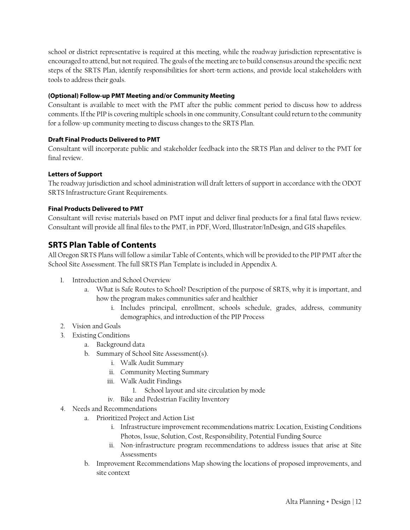school or district representative is required at this meeting, while the roadway jurisdiction representative is encouraged to attend, but not required. The goals of the meeting are to build consensus around the specific next steps of the SRTS Plan, identify responsibilities for short-term actions, and provide local stakeholders with tools to address their goals.

#### <span id="page-11-0"></span>**(Optional) Follow-up PMT Meeting and/or Community Meeting**

Consultant is available to meet with the PMT after the public comment period to discuss how to address comments. If the PIP is covering multiple schools in one community, Consultant could return to the community for a follow-up community meeting to discuss changes to the SRTS Plan.

#### **Draft Final Products Delivered to PMT**

Consultant will incorporate public and stakeholder feedback into the SRTS Plan and deliver to the PMT for final review.

#### **Letters of Support**

The roadway jurisdiction and school administration will draft letters of support in accordance with the ODOT SRTS Infrastructure Grant Requirements.

#### **Final Products Delivered to PMT**

Consultant will revise materials based on PMT input and deliver final products for a final fatal flaws review. Consultant will provide all final files to the PMT, in PDF, Word, Illustrator/InDesign, and GIS shapefiles.

## **SRTS Plan Table of Contents**

All Oregon SRTS Plans will follow a similar Table of Contents, which will be provided to the PIP PMT after the School Site Assessment. The full SRTS Plan Template is included in Appendix A.

- 1. Introduction and School Overview
	- a. What is Safe Routes to School? Description of the purpose of SRTS, why it is important, and how the program makes communities safer and healthier
		- i. Includes principal, enrollment, schools schedule, grades, address, community demographics, and introduction of the PIP Process
- 2. Vision and Goals
- 3. Existing Conditions
	- a. Background data
	- b. Summary of School Site Assessment(s).
		- i. Walk Audit Summary
		- ii. Community Meeting Summary
		- iii. Walk Audit Findings
			- 1. School layout and site circulation by mode
		- iv. Bike and Pedestrian Facility Inventory
- 4. Needs and Recommendations
	- a. Prioritized Project and Action List
		- i. Infrastructure improvement recommendations matrix: Location, Existing Conditions Photos, Issue, Solution, Cost, Responsibility, Potential Funding Source
		- ii. Non-infrastructure program recommendations to address issues that arise at Site **Assessments**
	- b. Improvement Recommendations Map showing the locations of proposed improvements, and site context